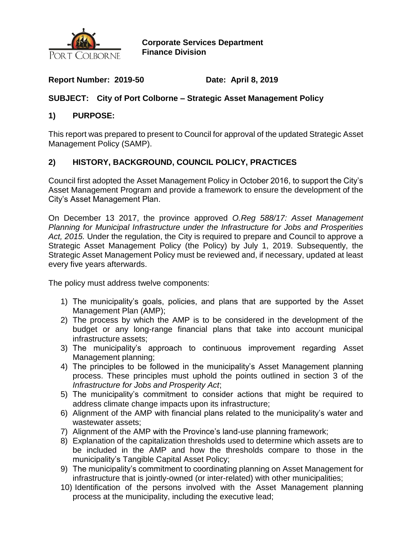

**Corporate Services Department Finance Division**

## **Report Number: 2019-50 Date: April 8, 2019**

## **SUBJECT: City of Port Colborne – Strategic Asset Management Policy**

#### **1) PURPOSE:**

This report was prepared to present to Council for approval of the updated Strategic Asset Management Policy (SAMP).

## **2) HISTORY, BACKGROUND, COUNCIL POLICY, PRACTICES**

Council first adopted the Asset Management Policy in October 2016, to support the City's Asset Management Program and provide a framework to ensure the development of the City's Asset Management Plan.

On December 13 2017, the province approved *O.Reg 588/17: Asset Management Planning for Municipal Infrastructure under the Infrastructure for Jobs and Prosperities Act, 2015.* Under the regulation, the City is required to prepare and Council to approve a Strategic Asset Management Policy (the Policy) by July 1, 2019. Subsequently, the Strategic Asset Management Policy must be reviewed and, if necessary, updated at least every five years afterwards.

The policy must address twelve components:

- 1) The municipality's goals, policies, and plans that are supported by the Asset Management Plan (AMP);
- 2) The process by which the AMP is to be considered in the development of the budget or any long-range financial plans that take into account municipal infrastructure assets;
- 3) The municipality's approach to continuous improvement regarding Asset Management planning;
- 4) The principles to be followed in the municipality's Asset Management planning process. These principles must uphold the points outlined in section 3 of the *Infrastructure for Jobs and Prosperity Act*;
- 5) The municipality's commitment to consider actions that might be required to address climate change impacts upon its infrastructure;
- 6) Alignment of the AMP with financial plans related to the municipality's water and wastewater assets;
- 7) Alignment of the AMP with the Province's land-use planning framework;
- 8) Explanation of the capitalization thresholds used to determine which assets are to be included in the AMP and how the thresholds compare to those in the municipality's Tangible Capital Asset Policy;
- 9) The municipality's commitment to coordinating planning on Asset Management for infrastructure that is jointly-owned (or inter-related) with other municipalities;
- 10) Identification of the persons involved with the Asset Management planning process at the municipality, including the executive lead;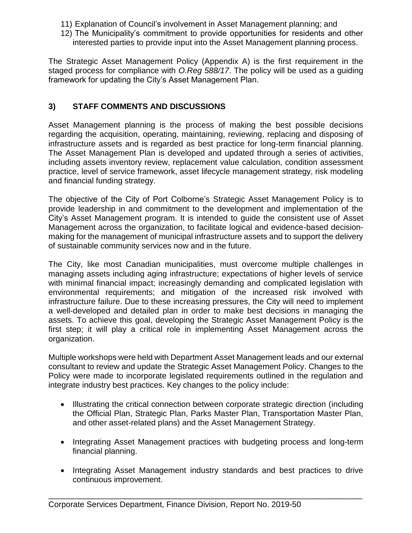- 11) Explanation of Council's involvement in Asset Management planning; and
- 12) The Municipality's commitment to provide opportunities for residents and other interested parties to provide input into the Asset Management planning process.

The Strategic Asset Management Policy (Appendix A) is the first requirement in the staged process for compliance with *O.Reg 588/17*. The policy will be used as a guiding framework for updating the City's Asset Management Plan.

## **3) STAFF COMMENTS AND DISCUSSIONS**

Asset Management planning is the process of making the best possible decisions regarding the acquisition, operating, maintaining, reviewing, replacing and disposing of infrastructure assets and is regarded as best practice for long-term financial planning. The Asset Management Plan is developed and updated through a series of activities, including assets inventory review, replacement value calculation, condition assessment practice, level of service framework, asset lifecycle management strategy, risk modeling and financial funding strategy.

The objective of the City of Port Colborne's Strategic Asset Management Policy is to provide leadership in and commitment to the development and implementation of the City's Asset Management program. It is intended to guide the consistent use of Asset Management across the organization, to facilitate logical and evidence-based decisionmaking for the management of municipal infrastructure assets and to support the delivery of sustainable community services now and in the future.

The City, like most Canadian municipalities, must overcome multiple challenges in managing assets including aging infrastructure; expectations of higher levels of service with minimal financial impact; increasingly demanding and complicated legislation with environmental requirements; and mitigation of the increased risk involved with infrastructure failure. Due to these increasing pressures, the City will need to implement a well-developed and detailed plan in order to make best decisions in managing the assets. To achieve this goal, developing the Strategic Asset Management Policy is the first step; it will play a critical role in implementing Asset Management across the organization.

Multiple workshops were held with Department Asset Management leads and our external consultant to review and update the Strategic Asset Management Policy. Changes to the Policy were made to incorporate legislated requirements outlined in the regulation and integrate industry best practices. Key changes to the policy include:

- Illustrating the critical connection between corporate strategic direction (including the Official Plan, Strategic Plan, Parks Master Plan, Transportation Master Plan, and other asset-related plans) and the Asset Management Strategy.
- Integrating Asset Management practices with budgeting process and long-term financial planning.
- Integrating Asset Management industry standards and best practices to drive continuous improvement.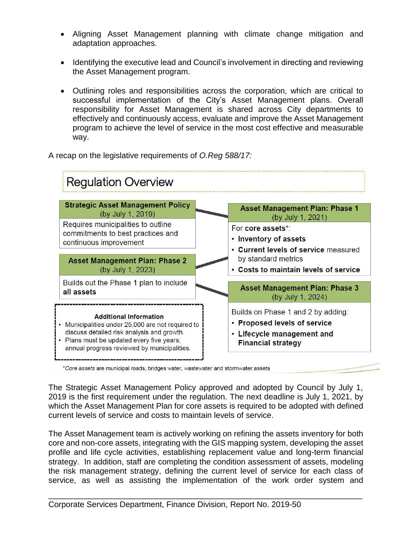- Aligning Asset Management planning with climate change mitigation and adaptation approaches.
- Identifying the executive lead and Council's involvement in directing and reviewing the Asset Management program.
- Outlining roles and responsibilities across the corporation, which are critical to successful implementation of the City's Asset Management plans. Overall responsibility for Asset Management is shared across City departments to effectively and continuously access, evaluate and improve the Asset Management program to achieve the level of service in the most cost effective and measurable way.

A recap on the legislative requirements of *O.Reg 588/17:*



\*Core assets are municipal roads, bridges water, wastewater and stormwater assets

The Strategic Asset Management Policy approved and adopted by Council by July 1, 2019 is the first requirement under the regulation. The next deadline is July 1, 2021, by which the Asset Management Plan for core assets is required to be adopted with defined current levels of service and costs to maintain levels of service.

The Asset Management team is actively working on refining the assets inventory for both core and non-core assets, integrating with the GIS mapping system, developing the asset profile and life cycle activities, establishing replacement value and long-term financial strategy. In addition, staff are completing the condition assessment of assets, modeling the risk management strategy, defining the current level of service for each class of service, as well as assisting the implementation of the work order system and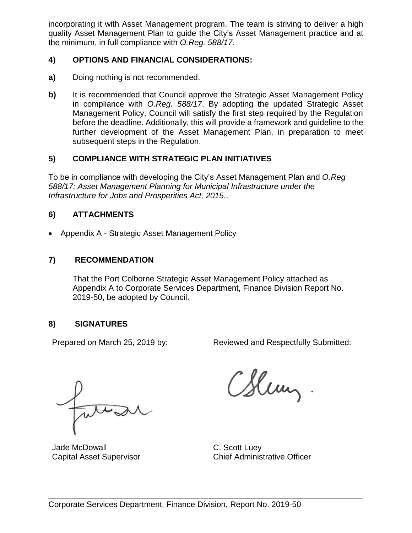incorporating it with Asset Management program. The team is striving to deliver a high quality Asset Management Plan to guide the City's Asset Management practice and at the minimum, in full compliance with *O.Reg. 588/17.*

## **4) OPTIONS AND FINANCIAL CONSIDERATIONS:**

- **a)** Doing nothing is not recommended.
- **b)** It is recommended that Council approve the Strategic Asset Management Policy in compliance with *O.Reg. 588/17*. By adopting the updated Strategic Asset Management Policy, Council will satisfy the first step required by the Regulation before the deadline. Additionally, this will provide a framework and guideline to the further development of the Asset Management Plan, in preparation to meet subsequent steps in the Regulation.

#### **5) COMPLIANCE WITH STRATEGIC PLAN INITIATIVES**

To be in compliance with developing the City's Asset Management Plan and *O.Reg 588/17: Asset Management Planning for Municipal Infrastructure under the Infrastructure for Jobs and Prosperities Act, 2015.*.

## **6) ATTACHMENTS**

Appendix A - Strategic Asset Management Policy

#### **7) RECOMMENDATION**

That the Port Colborne Strategic Asset Management Policy attached as Appendix A to Corporate Services Department, Finance Division Report No. 2019-50, be adopted by Council.

## **8) SIGNATURES**

Prepared on March 25, 2019 by: Reviewed and Respectfully Submitted:

Jade McDowall C. Scott Luey

CSlem,.

Capital Asset Supervisor Chief Administrative Officer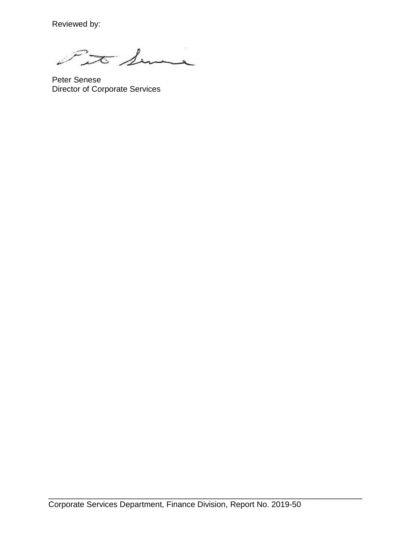Reviewed by:

Fit Sime

Peter Senese Director of Corporate Services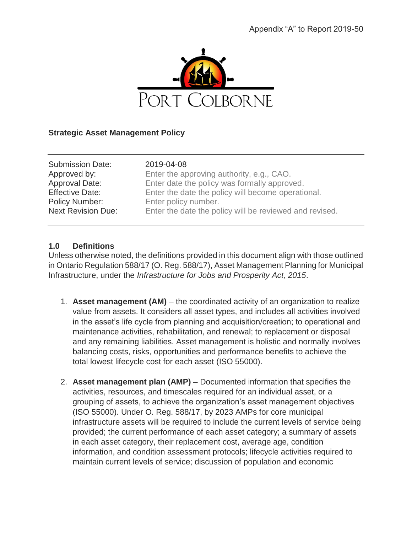

#### **Strategic Asset Management Policy**

| <b>Submission Date:</b>   | 2019-04-08                                              |
|---------------------------|---------------------------------------------------------|
| Approved by:              | Enter the approving authority, e.g., CAO.               |
| Approval Date:            | Enter date the policy was formally approved.            |
| <b>Effective Date:</b>    | Enter the date the policy will become operational.      |
| Policy Number:            | Enter policy number.                                    |
| <b>Next Revision Due:</b> | Enter the date the policy will be reviewed and revised. |
|                           |                                                         |

#### **1.0 Definitions**

Unless otherwise noted, the definitions provided in this document align with those outlined in Ontario Regulation 588/17 (O. Reg. 588/17), Asset Management Planning for Municipal Infrastructure, under the *Infrastructure for Jobs and Prosperity Act, 2015*.

- 1. **Asset management (AM)** the coordinated activity of an organization to realize value from assets. It considers all asset types, and includes all activities involved in the asset's life cycle from planning and acquisition/creation; to operational and maintenance activities, rehabilitation, and renewal; to replacement or disposal and any remaining liabilities. Asset management is holistic and normally involves balancing costs, risks, opportunities and performance benefits to achieve the total lowest lifecycle cost for each asset (ISO 55000).
- 2. **Asset management plan (AMP)** Documented information that specifies the activities, resources, and timescales required for an individual asset, or a grouping of assets, to achieve the organization's asset management objectives (ISO 55000). Under O. Reg. 588/17, by 2023 AMPs for core municipal infrastructure assets will be required to include the current levels of service being provided; the current performance of each asset category; a summary of assets in each asset category, their replacement cost, average age, condition information, and condition assessment protocols; lifecycle activities required to maintain current levels of service; discussion of population and economic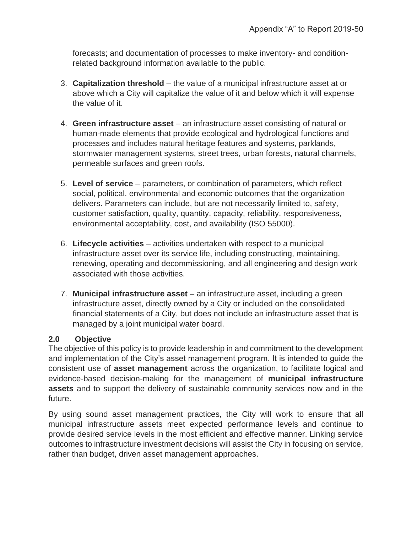forecasts; and documentation of processes to make inventory- and conditionrelated background information available to the public.

- 3. **Capitalization threshold** the value of a municipal infrastructure asset at or above which a City will capitalize the value of it and below which it will expense the value of it.
- 4. **Green infrastructure asset** an infrastructure asset consisting of natural or human-made elements that provide ecological and hydrological functions and processes and includes natural heritage features and systems, parklands, stormwater management systems, street trees, urban forests, natural channels, permeable surfaces and green roofs.
- 5. **Level of service** parameters, or combination of parameters, which reflect social, political, environmental and economic outcomes that the organization delivers. Parameters can include, but are not necessarily limited to, safety, customer satisfaction, quality, quantity, capacity, reliability, responsiveness, environmental acceptability, cost, and availability (ISO 55000).
- 6. **Lifecycle activities** activities undertaken with respect to a municipal infrastructure asset over its service life, including constructing, maintaining, renewing, operating and decommissioning, and all engineering and design work associated with those activities.
- 7. **Municipal infrastructure asset** an infrastructure asset, including a green infrastructure asset, directly owned by a City or included on the consolidated financial statements of a City, but does not include an infrastructure asset that is managed by a joint municipal water board.

## **2.0 Objective**

The objective of this policy is to provide leadership in and commitment to the development and implementation of the City's asset management program. It is intended to guide the consistent use of **asset management** across the organization, to facilitate logical and evidence-based decision-making for the management of **municipal infrastructure assets** and to support the delivery of sustainable community services now and in the future.

By using sound asset management practices, the City will work to ensure that all municipal infrastructure assets meet expected performance levels and continue to provide desired service levels in the most efficient and effective manner. Linking service outcomes to infrastructure investment decisions will assist the City in focusing on service, rather than budget, driven asset management approaches.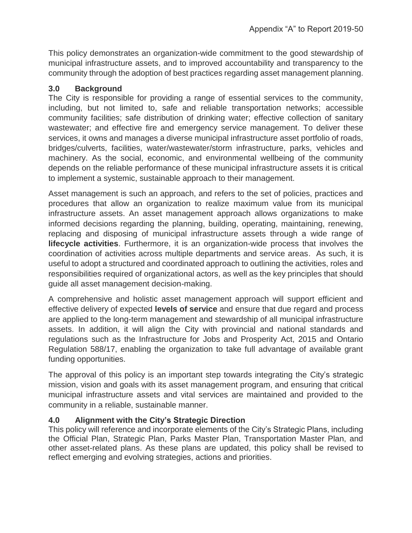This policy demonstrates an organization-wide commitment to the good stewardship of municipal infrastructure assets, and to improved accountability and transparency to the community through the adoption of best practices regarding asset management planning.

#### **3.0 Background**

The City is responsible for providing a range of essential services to the community, including, but not limited to, safe and reliable transportation networks; accessible community facilities; safe distribution of drinking water; effective collection of sanitary wastewater; and effective fire and emergency service management. To deliver these services, it owns and manages a diverse municipal infrastructure asset portfolio of roads, bridges/culverts, facilities, water/wastewater/storm infrastructure, parks, vehicles and machinery. As the social, economic, and environmental wellbeing of the community depends on the reliable performance of these municipal infrastructure assets it is critical to implement a systemic, sustainable approach to their management.

Asset management is such an approach, and refers to the set of policies, practices and procedures that allow an organization to realize maximum value from its municipal infrastructure assets. An asset management approach allows organizations to make informed decisions regarding the planning, building, operating, maintaining, renewing, replacing and disposing of municipal infrastructure assets through a wide range of **lifecycle activities**. Furthermore, it is an organization-wide process that involves the coordination of activities across multiple departments and service areas. As such, it is useful to adopt a structured and coordinated approach to outlining the activities, roles and responsibilities required of organizational actors, as well as the key principles that should guide all asset management decision-making.

A comprehensive and holistic asset management approach will support efficient and effective delivery of expected **levels of service** and ensure that due regard and process are applied to the long-term management and stewardship of all municipal infrastructure assets. In addition, it will align the City with provincial and national standards and regulations such as the Infrastructure for Jobs and Prosperity Act, 2015 and Ontario Regulation 588/17, enabling the organization to take full advantage of available grant funding opportunities.

The approval of this policy is an important step towards integrating the City's strategic mission, vision and goals with its asset management program, and ensuring that critical municipal infrastructure assets and vital services are maintained and provided to the community in a reliable, sustainable manner.

## **4.0 Alignment with the City's Strategic Direction**

This policy will reference and incorporate elements of the City's Strategic Plans, including the Official Plan, Strategic Plan, Parks Master Plan, Transportation Master Plan, and other asset-related plans. As these plans are updated, this policy shall be revised to reflect emerging and evolving strategies, actions and priorities.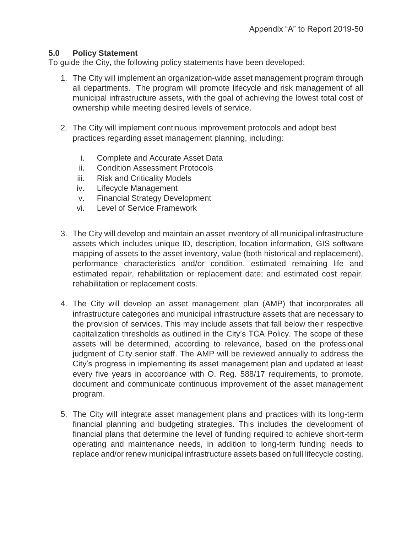#### **5.0 Policy Statement**

To guide the City, the following policy statements have been developed:

- 1. The City will implement an organization-wide asset management program through all departments. The program will promote lifecycle and risk management of all municipal infrastructure assets, with the goal of achieving the lowest total cost of ownership while meeting desired levels of service.
- 2. The City will implement continuous improvement protocols and adopt best practices regarding asset management planning, including:
	- i. Complete and Accurate Asset Data
	- ii. Condition Assessment Protocols
	- iii. Risk and Criticality Models
	- iv. Lifecycle Management
	- v. Financial Strategy Development
	- vi. Level of Service Framework
- 3. The City will develop and maintain an asset inventory of all municipal infrastructure assets which includes unique ID, description, location information, GIS software mapping of assets to the asset inventory, value (both historical and replacement), performance characteristics and/or condition, estimated remaining life and estimated repair, rehabilitation or replacement date; and estimated cost repair, rehabilitation or replacement costs.
- 4. The City will develop an asset management plan (AMP) that incorporates all infrastructure categories and municipal infrastructure assets that are necessary to the provision of services. This may include assets that fall below their respective capitalization thresholds as outlined in the City's TCA Policy. The scope of these assets will be determined, according to relevance, based on the professional judgment of City senior staff. The AMP will be reviewed annually to address the City's progress in implementing its asset management plan and updated at least every five years in accordance with O. Reg. 588/17 requirements, to promote, document and communicate continuous improvement of the asset management program.
- 5. The City will integrate asset management plans and practices with its long-term financial planning and budgeting strategies. This includes the development of financial plans that determine the level of funding required to achieve short-term operating and maintenance needs, in addition to long-term funding needs to replace and/or renew municipal infrastructure assets based on full lifecycle costing.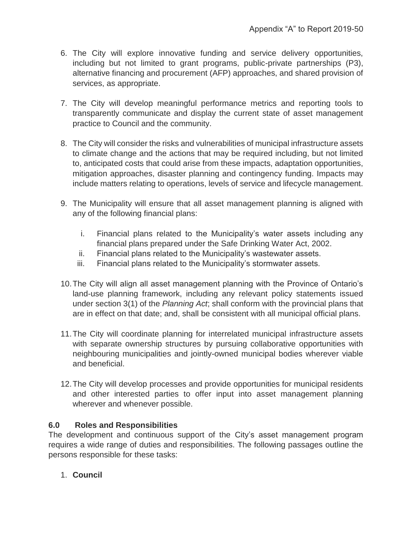- 6. The City will explore innovative funding and service delivery opportunities, including but not limited to grant programs, public-private partnerships (P3), alternative financing and procurement (AFP) approaches, and shared provision of services, as appropriate.
- 7. The City will develop meaningful performance metrics and reporting tools to transparently communicate and display the current state of asset management practice to Council and the community.
- 8. The City will consider the risks and vulnerabilities of municipal infrastructure assets to climate change and the actions that may be required including, but not limited to, anticipated costs that could arise from these impacts, adaptation opportunities, mitigation approaches, disaster planning and contingency funding. Impacts may include matters relating to operations, levels of service and lifecycle management.
- 9. The Municipality will ensure that all asset management planning is aligned with any of the following financial plans:
	- i. Financial plans related to the Municipality's water assets including any financial plans prepared under the Safe Drinking Water Act, 2002.
	- ii. Financial plans related to the Municipality's wastewater assets.
	- iii. Financial plans related to the Municipality's stormwater assets.
- 10.The City will align all asset management planning with the Province of Ontario's land-use planning framework, including any relevant policy statements issued under section 3(1) of the *Planning Act*; shall conform with the provincial plans that are in effect on that date; and, shall be consistent with all municipal official plans.
- 11.The City will coordinate planning for interrelated municipal infrastructure assets with separate ownership structures by pursuing collaborative opportunities with neighbouring municipalities and jointly-owned municipal bodies wherever viable and beneficial.
- 12.The City will develop processes and provide opportunities for municipal residents and other interested parties to offer input into asset management planning wherever and whenever possible.

## **6.0 Roles and Responsibilities**

The development and continuous support of the City's asset management program requires a wide range of duties and responsibilities. The following passages outline the persons responsible for these tasks:

1. **Council**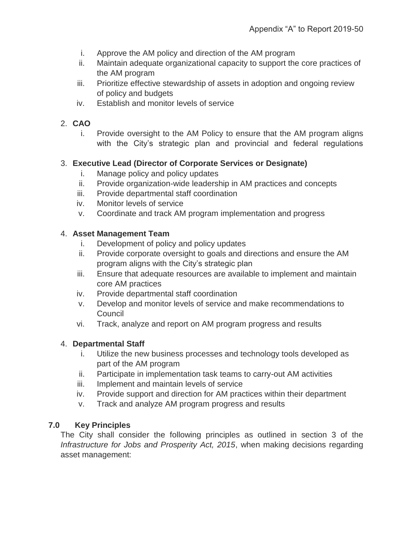- i. Approve the AM policy and direction of the AM program
- ii. Maintain adequate organizational capacity to support the core practices of the AM program
- iii. Prioritize effective stewardship of assets in adoption and ongoing review of policy and budgets
- iv. Establish and monitor levels of service

## 2. **CAO**

i. Provide oversight to the AM Policy to ensure that the AM program aligns with the City's strategic plan and provincial and federal regulations

## 3. **Executive Lead (Director of Corporate Services or Designate)**

- i. Manage policy and policy updates
- ii. Provide organization-wide leadership in AM practices and concepts
- iii. Provide departmental staff coordination
- iv. Monitor levels of service
- v. Coordinate and track AM program implementation and progress

## 4. **Asset Management Team**

- i. Development of policy and policy updates
- ii. Provide corporate oversight to goals and directions and ensure the AM program aligns with the City's strategic plan
- iii. Ensure that adequate resources are available to implement and maintain core AM practices
- iv. Provide departmental staff coordination
- v. Develop and monitor levels of service and make recommendations to Council
- vi. Track, analyze and report on AM program progress and results

# 4. **Departmental Staff**

- i. Utilize the new business processes and technology tools developed as part of the AM program
- ii. Participate in implementation task teams to carry-out AM activities
- iii. Implement and maintain levels of service
- iv. Provide support and direction for AM practices within their department
- v. Track and analyze AM program progress and results

# **7.0 Key Principles**

The City shall consider the following principles as outlined in section 3 of the *Infrastructure for Jobs and Prosperity Act, 2015*, when making decisions regarding asset management: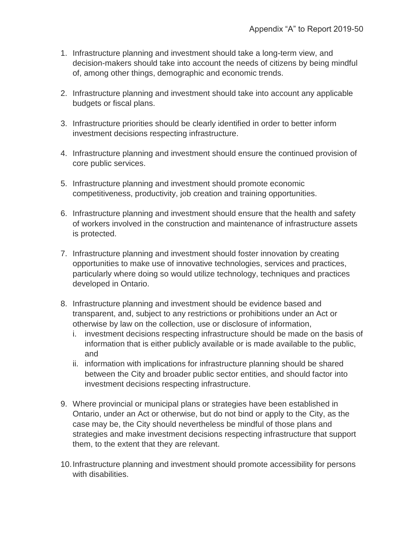- 1. Infrastructure planning and investment should take a long-term view, and decision-makers should take into account the needs of citizens by being mindful of, among other things, demographic and economic trends.
- 2. Infrastructure planning and investment should take into account any applicable budgets or fiscal plans.
- 3. Infrastructure priorities should be clearly identified in order to better inform investment decisions respecting infrastructure.
- 4. Infrastructure planning and investment should ensure the continued provision of core public services.
- 5. Infrastructure planning and investment should promote economic competitiveness, productivity, job creation and training opportunities.
- 6. Infrastructure planning and investment should ensure that the health and safety of workers involved in the construction and maintenance of infrastructure assets is protected.
- 7. Infrastructure planning and investment should foster innovation by creating opportunities to make use of innovative technologies, services and practices, particularly where doing so would utilize technology, techniques and practices developed in Ontario.
- 8. Infrastructure planning and investment should be evidence based and transparent, and, subject to any restrictions or prohibitions under an Act or otherwise by law on the collection, use or disclosure of information,
	- i. investment decisions respecting infrastructure should be made on the basis of information that is either publicly available or is made available to the public, and
	- ii. information with implications for infrastructure planning should be shared between the City and broader public sector entities, and should factor into investment decisions respecting infrastructure.
- 9. Where provincial or municipal plans or strategies have been established in Ontario, under an Act or otherwise, but do not bind or apply to the City, as the case may be, the City should nevertheless be mindful of those plans and strategies and make investment decisions respecting infrastructure that support them, to the extent that they are relevant.
- 10.Infrastructure planning and investment should promote accessibility for persons with disabilities.